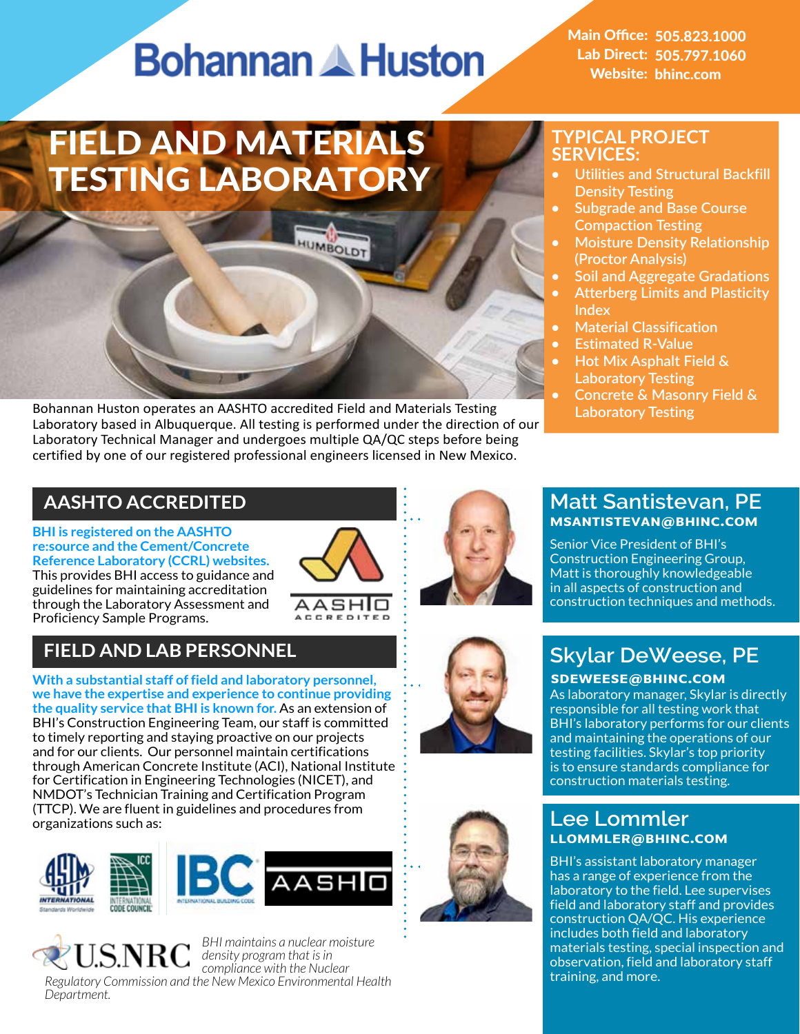# **Bohannan & Huston**

HUMBOLDT

Website: bhinc.com Lab Direct: 505.797.1060 Main Office: 505.823.1000

# FIELD AND MATERIALS TESTING LABORATORY

Bohannan Huston operates an AASHTO accredited Field and Materials Testing Laboratory based in Albuquerque. All testing is performed under the direction of our Laboratory Technical Manager and undergoes multiple QA/QC steps before being certified by one of our registered professional engineers licensed in New Mexico.

# **AASHTO ACCREDITED**

**BHI is registered on the AASHTO re:source and the Cement/Concrete Reference Laboratory (CCRL) websites.**  This provides BHI access to guidance and guidelines for maintaining accreditation through the Laboratory Assessment and Proficiency Sample Programs.





**With a substantial staff of field and laboratory personnel, we have the expertise and experience to continue providing the quality service that BHI is known for.** As an extension of BHI's Construction Engineering Team, our staff is committed to timely reporting and staying proactive on our projects and for our clients. Our personnel maintain certifications through American Concrete Institute (ACI), National Institute for Certification in Engineering Technologies (NICET), and NMDOT's Technician Training and Certification Program (TTCP). We are fluent in guidelines and procedures from organizations such as:











### **Matt Santistevan, PE MSANTISTEVAN@BHINC.COM**

Senior Vice President of BHI's Construction Engineering Group, Matt is thoroughly knowledgeable in all aspects of construction and construction techniques and methods.

# **Skylar DeWeese, PE SDEWEESE@BHINC.COM**

As laboratory manager, Skylar is directly responsible for all testing work that BHI's laboratory performs for our clients and maintaining the operations of our testing facilities. Skylar's top priority is to ensure standards compliance for construction materials testing.

### **Lee Lommler LLOMMLER@BHINC.COM**

BHI's assistant laboratory manager has a range of experience from the laboratory to the field. Lee supervises field and laboratory staff and provides construction QA/QC. His experience includes both field and laboratory materials testing, special inspection and observation, field and laboratory staff training, and more.